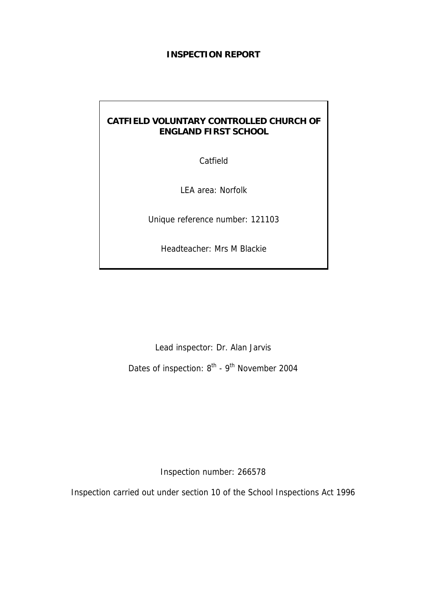### **INSPECTION REPORT**

# **CATFIELD VOLUNTARY CONTROLLED CHURCH OF ENGLAND FIRST SCHOOL**

Catfield

LEA area: Norfolk

Unique reference number: 121103

Headteacher: Mrs M Blackie

Lead inspector: Dr. Alan Jarvis

Dates of inspection: 8<sup>th</sup> - 9<sup>th</sup> November 2004

Inspection number: 266578

Inspection carried out under section 10 of the School Inspections Act 1996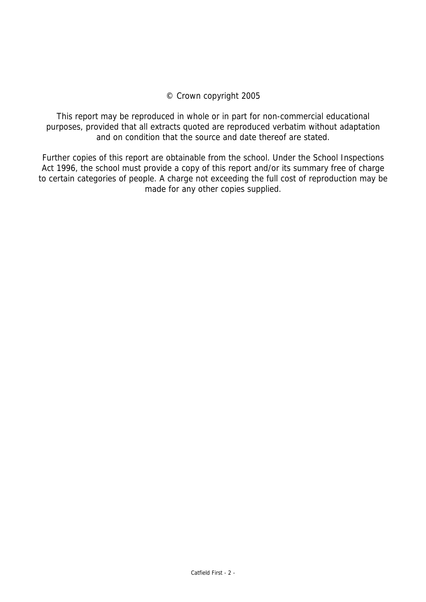### © Crown copyright 2005

This report may be reproduced in whole or in part for non-commercial educational purposes, provided that all extracts quoted are reproduced verbatim without adaptation and on condition that the source and date thereof are stated.

Further copies of this report are obtainable from the school. Under the School Inspections Act 1996, the school must provide a copy of this report and/or its summary free of charge to certain categories of people. A charge not exceeding the full cost of reproduction may be made for any other copies supplied.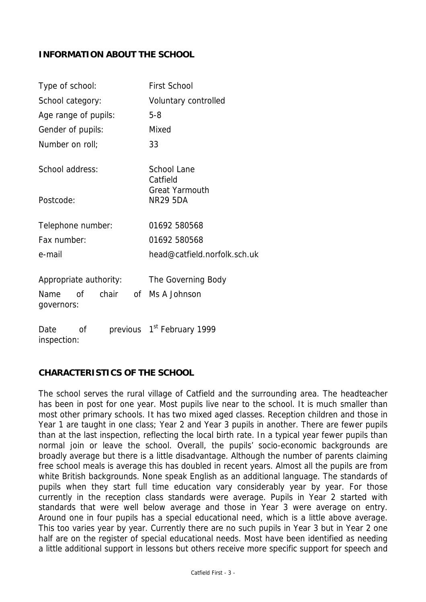## **INFORMATION ABOUT THE SCHOOL**

| Type of school:           | <b>First School</b>                      |  |  |
|---------------------------|------------------------------------------|--|--|
| School category:          | Voluntary controlled                     |  |  |
| Age range of pupils:      | $5 - 8$                                  |  |  |
| Gender of pupils:         | Mixed                                    |  |  |
| Number on roll;           | 33                                       |  |  |
| School address:           | School Lane<br>Catfield                  |  |  |
| Postcode:                 | <b>Great Yarmouth</b><br><b>NR29 5DA</b> |  |  |
| Telephone number:         | 01692 580568                             |  |  |
| Fax number:               | 01692 580568                             |  |  |
| e-mail                    | head@catfield.norfolk.sch.uk             |  |  |
| Appropriate authority:    | The Governing Body                       |  |  |
| Name of<br>governors:     | chair of Ms A Johnson                    |  |  |
| Οf<br>Date<br>inspection: | previous 1 <sup>st</sup> February 1999   |  |  |

## **CHARACTERISTICS OF THE SCHOOL**

The school serves the rural village of Catfield and the surrounding area. The headteacher has been in post for one year. Most pupils live near to the school. It is much smaller than most other primary schools. It has two mixed aged classes. Reception children and those in Year 1 are taught in one class; Year 2 and Year 3 pupils in another. There are fewer pupils than at the last inspection, reflecting the local birth rate. In a typical year fewer pupils than normal join or leave the school. Overall, the pupils' socio-economic backgrounds are broadly average but there is a little disadvantage. Although the number of parents claiming free school meals is average this has doubled in recent years. Almost all the pupils are from white British backgrounds. None speak English as an additional language. The standards of pupils when they start full time education vary considerably year by year. For those currently in the reception class standards were average. Pupils in Year 2 started with standards that were well below average and those in Year 3 were average on entry. Around one in four pupils has a special educational need, which is a little above average. This too varies year by year. Currently there are no such pupils in Year 3 but in Year 2 one half are on the register of special educational needs. Most have been identified as needing a little additional support in lessons but others receive more specific support for speech and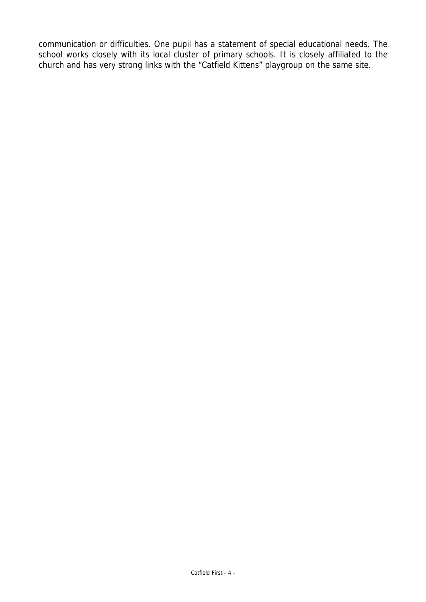communication or difficulties. One pupil has a statement of special educational needs. The school works closely with its local cluster of primary schools. It is closely affiliated to the church and has very strong links with the "Catfield Kittens" playgroup on the same site.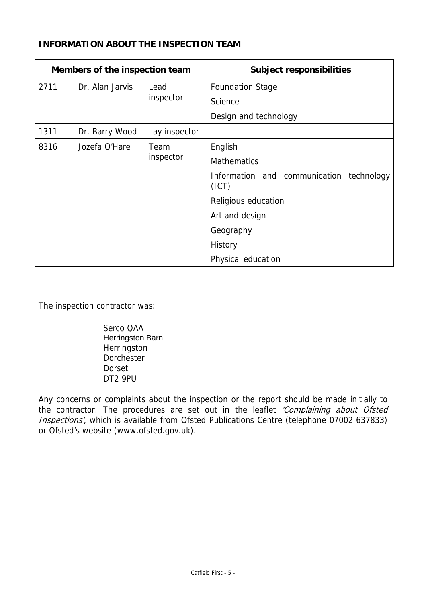# **INFORMATION ABOUT THE INSPECTION TEAM**

|      | Members of the inspection team |               | <b>Subject responsibilities</b>                   |
|------|--------------------------------|---------------|---------------------------------------------------|
| 2711 | Dr. Alan Jarvis                | Lead          | <b>Foundation Stage</b>                           |
|      |                                | inspector     | Science                                           |
|      |                                |               | Design and technology                             |
| 1311 | Dr. Barry Wood                 | Lay inspector |                                                   |
| 8316 | Jozefa O'Hare                  | Team          | English                                           |
|      |                                | inspector     | <b>Mathematics</b>                                |
|      |                                |               | Information and communication technology<br>(ICT) |
|      |                                |               | Religious education                               |
|      |                                |               | Art and design                                    |
|      |                                |               | Geography                                         |
|      |                                |               | History                                           |
|      |                                |               | Physical education                                |

The inspection contractor was:

Serco QAA Herringston Barn Herringston **Dorchester** Dorset DT2 9PU

Any concerns or complaints about the inspection or the report should be made initially to the contractor. The procedures are set out in the leaflet 'Complaining about Ofsted Inspections', which is available from Ofsted Publications Centre (telephone 07002 637833) or Ofsted's website (www.ofsted.gov.uk).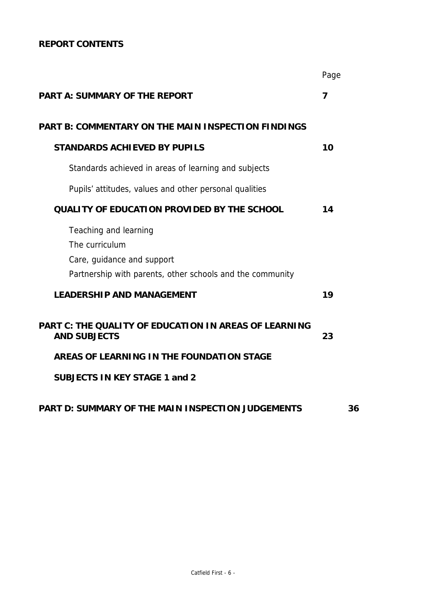# **REPORT CONTENTS**

|                                                                                                                                    | Page |    |
|------------------------------------------------------------------------------------------------------------------------------------|------|----|
| <b>PART A: SUMMARY OF THE REPORT</b>                                                                                               | 7    |    |
| <b>PART B: COMMENTARY ON THE MAIN INSPECTION FINDINGS</b>                                                                          |      |    |
| <b>STANDARDS ACHIEVED BY PUPILS</b>                                                                                                | 10   |    |
| Standards achieved in areas of learning and subjects                                                                               |      |    |
| Pupils' attitudes, values and other personal qualities                                                                             |      |    |
| <b>QUALITY OF EDUCATION PROVIDED BY THE SCHOOL</b>                                                                                 | 14   |    |
| Teaching and learning<br>The curriculum<br>Care, guidance and support<br>Partnership with parents, other schools and the community |      |    |
| <b>LEADERSHIP AND MANAGEMENT</b>                                                                                                   | 19   |    |
| <b>PART C: THE QUALITY OF EDUCATION IN AREAS OF LEARNING</b><br><b>AND SUBJECTS</b>                                                | 23   |    |
| AREAS OF LEARNING IN THE FOUNDATION STAGE                                                                                          |      |    |
| <b>SUBJECTS IN KEY STAGE 1 and 2</b>                                                                                               |      |    |
| <b>PART D: SUMMARY OF THE MAIN INSPECTION JUDGEMENTS</b>                                                                           |      | 36 |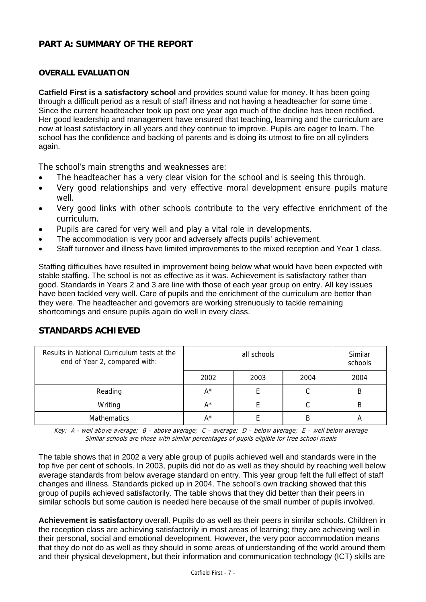### **PART A: SUMMARY OF THE REPORT**

#### **OVERALL EVALUATION**

**Catfield First is a satisfactory school** and provides sound value for money. It has been going through a difficult period as a result of staff illness and not having a headteacher for some time . Since the current headteacher took up post one year ago much of the decline has been rectified. Her good leadership and management have ensured that teaching, learning and the curriculum are now at least satisfactory in all years and they continue to improve. Pupils are eager to learn. The school has the confidence and backing of parents and is doing its utmost to fire on all cylinders again.

The school's main strengths and weaknesses are:

- The headteacher has a very clear vision for the school and is seeing this through.
- Very good relationships and very effective moral development ensure pupils mature well.
- Very good links with other schools contribute to the very effective enrichment of the curriculum.
- Pupils are cared for very well and play a vital role in developments.
- The accommodation is very poor and adversely affects pupils' achievement.
- Staff turnover and illness have limited improvements to the mixed reception and Year 1 class.

Staffing difficulties have resulted in improvement being below what would have been expected with stable staffing. The school is not as effective as it was. Achievement is satisfactory rather than good. Standards in Years 2 and 3 are line with those of each year group on entry. All key issues have been tackled very well. Care of pupils and the enrichment of the curriculum are better than they were. The headteacher and governors are working strenuously to tackle remaining shortcomings and ensure pupils again do well in every class.

### **STANDARDS ACHIEVED**

| Results in National Curriculum tests at the<br>end of Year 2, compared with: | all schools |      |      | Similar<br>schools |
|------------------------------------------------------------------------------|-------------|------|------|--------------------|
|                                                                              | 2002        | 2003 | 2004 | 2004               |
| Reading                                                                      | $A^*$       |      | С    |                    |
| Writing                                                                      | $A^*$       |      |      |                    |
| <b>Mathematics</b>                                                           | A*          |      | B    |                    |

Key:  $A$  - well above average;  $B$  – above average;  $C$  – average;  $D$  – below average;  $E$  – well below average Similar schools are those with similar percentages of pupils eligible for free school meals

The table shows that in 2002 a very able group of pupils achieved well and standards were in the top five per cent of schools. In 2003, pupils did not do as well as they should by reaching well below average standards from below average standard on entry. This year group felt the full effect of staff changes and illness. Standards picked up in 2004. The school's own tracking showed that this group of pupils achieved satisfactorily. The table shows that they did better than their peers in similar schools but some caution is needed here because of the small number of pupils involved.

**Achievement is satisfactory** overall. Pupils do as well as their peers in similar schools. Children in the reception class are achieving satisfactorily in most areas of learning; they are achieving well in their personal, social and emotional development. However, the very poor accommodation means that they do not do as well as they should in some areas of understanding of the world around them and their physical development, but their information and communication technology (ICT) skills are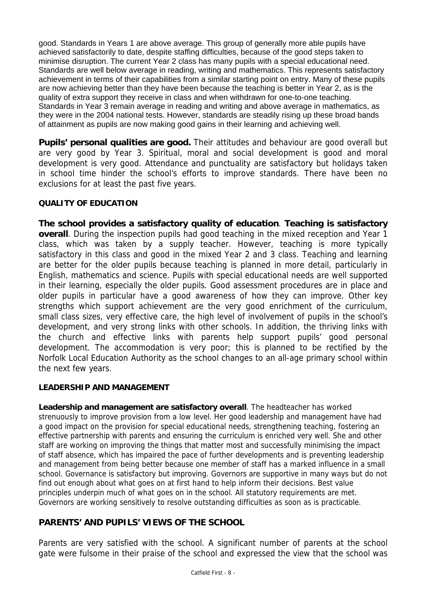good. Standards in Years 1 are above average. This group of generally more able pupils have achieved satisfactorily to date, despite staffing difficulties, because of the good steps taken to minimise disruption. The current Year 2 class has many pupils with a special educational need. Standards are well below average in reading, writing and mathematics. This represents satisfactory achievement in terms of their capabilities from a similar starting point on entry. Many of these pupils are now achieving better than they have been because the teaching is better in Year 2, as is the quality of extra support they receive in class and when withdrawn for one-to-one teaching. Standards in Year 3 remain average in reading and writing and above average in mathematics, as they were in the 2004 national tests. However, standards are steadily rising up these broad bands of attainment as pupils are now making good gains in their learning and achieving well.

**Pupils' personal qualities are good.** Their attitudes and behaviour are good overall but are very good by Year 3. Spiritual, moral and social development is good and moral development is very good. Attendance and punctuality are satisfactory but holidays taken in school time hinder the school's efforts to improve standards. There have been no exclusions for at least the past five years.

### **QUALITY OF EDUCATION**

**The school provides a satisfactory quality of education**. **Teaching is satisfactory overall**. During the inspection pupils had good teaching in the mixed reception and Year 1 class, which was taken by a supply teacher. However, teaching is more typically satisfactory in this class and good in the mixed Year 2 and 3 class. Teaching and learning are better for the older pupils because teaching is planned in more detail, particularly in English, mathematics and science. Pupils with special educational needs are well supported in their learning, especially the older pupils. Good assessment procedures are in place and older pupils in particular have a good awareness of how they can improve. Other key strengths which support achievement are the very good enrichment of the curriculum, small class sizes, very effective care, the high level of involvement of pupils in the school's development, and very strong links with other schools. In addition, the thriving links with the church and effective links with parents help support pupils' good personal development. The accommodation is very poor; this is planned to be rectified by the Norfolk Local Education Authority as the school changes to an all-age primary school within the next few years.

### **LEADERSHIP AND MANAGEMENT**

**Leadership and management are satisfactory overall**. The headteacher has worked strenuously to improve provision from a low level. Her good leadership and management have had a good impact on the provision for special educational needs, strengthening teaching, fostering an effective partnership with parents and ensuring the curriculum is enriched very well. She and other staff are working on improving the things that matter most and successfully minimising the impact of staff absence, which has impaired the pace of further developments and is preventing leadership and management from being better because one member of staff has a marked influence in a small school. Governance is satisfactory but improving. Governors are supportive in many ways but do not find out enough about what goes on at first hand to help inform their decisions. Best value principles underpin much of what goes on in the school. All statutory requirements are met. Governors are working sensitively to resolve outstanding difficulties as soon as is practicable.

## **PARENTS' AND PUPILS' VIEWS OF THE SCHOOL**

Parents are very satisfied with the school. A significant number of parents at the school gate were fulsome in their praise of the school and expressed the view that the school was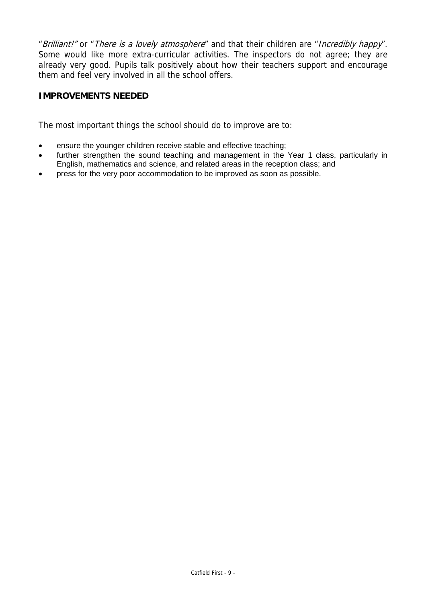"Brilliant!" or "There is a lovely atmosphere" and that their children are "Incredibly happy". Some would like more extra-curricular activities. The inspectors do not agree; they are already very good. Pupils talk positively about how their teachers support and encourage them and feel very involved in all the school offers.

## **IMPROVEMENTS NEEDED**

The most important things the school should do to improve are to:

- ensure the younger children receive stable and effective teaching;
- further strengthen the sound teaching and management in the Year 1 class, particularly in English, mathematics and science, and related areas in the reception class; and
- press for the very poor accommodation to be improved as soon as possible.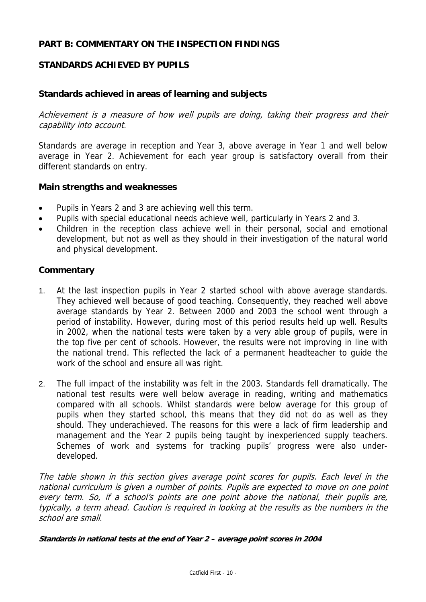### **PART B: COMMENTARY ON THE INSPECTION FINDINGS**

## **STANDARDS ACHIEVED BY PUPILS**

### **Standards achieved in areas of learning and subjects**

Achievement is a measure of how well pupils are doing, taking their progress and their capability into account.

Standards are average in reception and Year 3, above average in Year 1 and well below average in Year 2. Achievement for each year group is satisfactory overall from their different standards on entry.

### **Main strengths and weaknesses**

- Pupils in Years 2 and 3 are achieving well this term.
- Pupils with special educational needs achieve well, particularly in Years 2 and 3.
- Children in the reception class achieve well in their personal, social and emotional development, but not as well as they should in their investigation of the natural world and physical development.

#### **Commentary**

- 1. At the last inspection pupils in Year 2 started school with above average standards. They achieved well because of good teaching. Consequently, they reached well above average standards by Year 2. Between 2000 and 2003 the school went through a period of instability. However, during most of this period results held up well. Results in 2002, when the national tests were taken by a very able group of pupils, were in the top five per cent of schools. However, the results were not improving in line with the national trend. This reflected the lack of a permanent headteacher to guide the work of the school and ensure all was right.
- 2. The full impact of the instability was felt in the 2003. Standards fell dramatically. The national test results were well below average in reading, writing and mathematics compared with all schools. Whilst standards were below average for this group of pupils when they started school, this means that they did not do as well as they should. They underachieved. The reasons for this were a lack of firm leadership and management and the Year 2 pupils being taught by inexperienced supply teachers. Schemes of work and systems for tracking pupils' progress were also underdeveloped.

The table shown in this section gives average point scores for pupils. Each level in the national curriculum is given a number of points. Pupils are expected to move on one point every term. So, if a school's points are one point above the national, their pupils are, typically, a term ahead. Caution is required in looking at the results as the numbers in the school are small.

**Standards in national tests at the end of Year 2 – average point scores in 2004**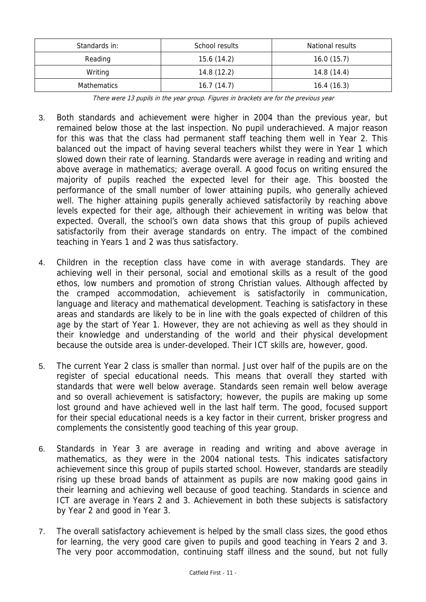| Standards in:      | School results | National results |
|--------------------|----------------|------------------|
| Reading            | 15.6 (14.2)    | 16.0(15.7)       |
| Writing            | 14.8(12.2)     | 14.8(14.4)       |
| <b>Mathematics</b> | 16.7(14.7)     | 16.4(16.3)       |

There were 13 pupils in the year group. Figures in brackets are for the previous year

- 3. Both standards and achievement were higher in 2004 than the previous year, but remained below those at the last inspection. No pupil underachieved. A major reason for this was that the class had permanent staff teaching them well in Year 2. This balanced out the impact of having several teachers whilst they were in Year 1 which slowed down their rate of learning. Standards were average in reading and writing and above average in mathematics; average overall. A good focus on writing ensured the majority of pupils reached the expected level for their age. This boosted the performance of the small number of lower attaining pupils, who generally achieved well. The higher attaining pupils generally achieved satisfactorily by reaching above levels expected for their age, although their achievement in writing was below that expected. Overall, the school's own data shows that this group of pupils achieved satisfactorily from their average standards on entry. The impact of the combined teaching in Years 1 and 2 was thus satisfactory.
- 4. Children in the reception class have come in with average standards. They are achieving well in their personal, social and emotional skills as a result of the good ethos, low numbers and promotion of strong Christian values. Although affected by the cramped accommodation, achievement is satisfactorily in communication, language and literacy and mathematical development. Teaching is satisfactory in these areas and standards are likely to be in line with the goals expected of children of this age by the start of Year 1. However, they are not achieving as well as they should in their knowledge and understanding of the world and their physical development because the outside area is under-developed. Their ICT skills are, however, good.
- 5. The current Year 2 class is smaller than normal. Just over half of the pupils are on the register of special educational needs. This means that overall they started with standards that were well below average. Standards seen remain well below average and so overall achievement is satisfactory; however, the pupils are making up some lost ground and have achieved well in the last half term. The good, focused support for their special educational needs is a key factor in their current, brisker progress and complements the consistently good teaching of this year group.
- 6. Standards in Year 3 are average in reading and writing and above average in mathematics, as they were in the 2004 national tests. This indicates satisfactory achievement since this group of pupils started school. However, standards are steadily rising up these broad bands of attainment as pupils are now making good gains in their learning and achieving well because of good teaching. Standards in science and ICT are average in Years 2 and 3. Achievement in both these subjects is satisfactory by Year 2 and good in Year 3.
- 7. The overall satisfactory achievement is helped by the small class sizes, the good ethos for learning, the very good care given to pupils and good teaching in Years 2 and 3. The very poor accommodation, continuing staff illness and the sound, but not fully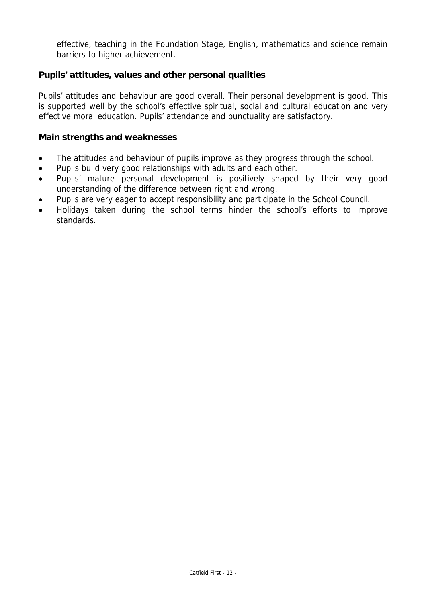effective, teaching in the Foundation Stage, English, mathematics and science remain barriers to higher achievement.

### **Pupils' attitudes, values and other personal qualities**

Pupils' attitudes and behaviour are good overall. Their personal development is good. This is supported well by the school's effective spiritual, social and cultural education and very effective moral education. Pupils' attendance and punctuality are satisfactory.

#### **Main strengths and weaknesses**

- The attitudes and behaviour of pupils improve as they progress through the school.
- Pupils build very good relationships with adults and each other.
- Pupils' mature personal development is positively shaped by their very good understanding of the difference between right and wrong.
- Pupils are very eager to accept responsibility and participate in the School Council.
- Holidays taken during the school terms hinder the school's efforts to improve standards.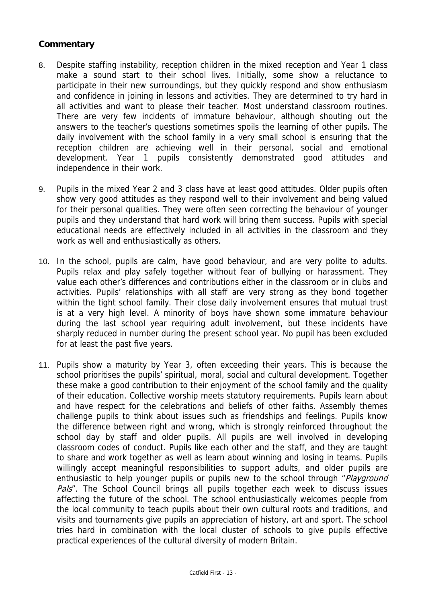- 8. Despite staffing instability, reception children in the mixed reception and Year 1 class make a sound start to their school lives. Initially, some show a reluctance to participate in their new surroundings, but they quickly respond and show enthusiasm and confidence in joining in lessons and activities. They are determined to try hard in all activities and want to please their teacher. Most understand classroom routines. There are very few incidents of immature behaviour, although shouting out the answers to the teacher's questions sometimes spoils the learning of other pupils. The daily involvement with the school family in a very small school is ensuring that the reception children are achieving well in their personal, social and emotional development. Year 1 pupils consistently demonstrated good attitudes and independence in their work.
- 9. Pupils in the mixed Year 2 and 3 class have at least good attitudes. Older pupils often show very good attitudes as they respond well to their involvement and being valued for their personal qualities. They were often seen correcting the behaviour of younger pupils and they understand that hard work will bring them success. Pupils with special educational needs are effectively included in all activities in the classroom and they work as well and enthusiastically as others.
- 10. In the school, pupils are calm, have good behaviour, and are very polite to adults. Pupils relax and play safely together without fear of bullying or harassment. They value each other's differences and contributions either in the classroom or in clubs and activities. Pupils' relationships with all staff are very strong as they bond together within the tight school family. Their close daily involvement ensures that mutual trust is at a very high level. A minority of boys have shown some immature behaviour during the last school year requiring adult involvement, but these incidents have sharply reduced in number during the present school year. No pupil has been excluded for at least the past five years.
- 11. Pupils show a maturity by Year 3, often exceeding their years. This is because the school prioritises the pupils' spiritual, moral, social and cultural development. Together these make a good contribution to their enjoyment of the school family and the quality of their education. Collective worship meets statutory requirements. Pupils learn about and have respect for the celebrations and beliefs of other faiths. Assembly themes challenge pupils to think about issues such as friendships and feelings. Pupils know the difference between right and wrong, which is strongly reinforced throughout the school day by staff and older pupils. All pupils are well involved in developing classroom codes of conduct. Pupils like each other and the staff, and they are taught to share and work together as well as learn about winning and losing in teams. Pupils willingly accept meaningful responsibilities to support adults, and older pupils are enthusiastic to help younger pupils or pupils new to the school through "Playground Pals''. The School Council brings all pupils together each week to discuss issues affecting the future of the school. The school enthusiastically welcomes people from the local community to teach pupils about their own cultural roots and traditions, and visits and tournaments give pupils an appreciation of history, art and sport. The school tries hard in combination with the local cluster of schools to give pupils effective practical experiences of the cultural diversity of modern Britain.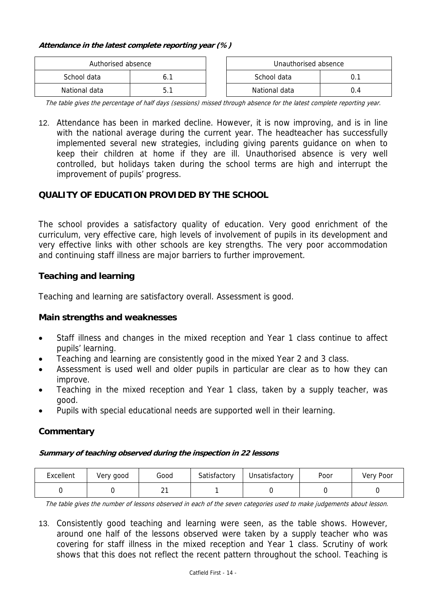#### **Attendance in the latest complete reporting year (%)**

| Authorised absence |  | Unauthorised absence |  |
|--------------------|--|----------------------|--|
| School data        |  | School data          |  |
| National data      |  | National data        |  |

The table gives the percentage of half days (sessions) missed through absence for the latest complete reporting year.

12. Attendance has been in marked decline. However, it is now improving, and is in line with the national average during the current year. The headteacher has successfully implemented several new strategies, including giving parents guidance on when to keep their children at home if they are ill. Unauthorised absence is very well controlled, but holidays taken during the school terms are high and interrupt the improvement of pupils' progress.

## **QUALITY OF EDUCATION PROVIDED BY THE SCHOOL**

The school provides a satisfactory quality of education. Very good enrichment of the curriculum, very effective care, high levels of involvement of pupils in its development and very effective links with other schools are key strengths. The very poor accommodation and continuing staff illness are major barriers to further improvement.

## **Teaching and learning**

Teaching and learning are satisfactory overall. Assessment is good.

### **Main strengths and weaknesses**

- Staff illness and changes in the mixed reception and Year 1 class continue to affect pupils' learning.
- Teaching and learning are consistently good in the mixed Year 2 and 3 class.
- Assessment is used well and older pupils in particular are clear as to how they can improve.
- Teaching in the mixed reception and Year 1 class, taken by a supply teacher, was good.
- Pupils with special educational needs are supported well in their learning.

### **Commentary**

#### **Summary of teaching observed during the inspection in 22 lessons**

| Excellent | Very good | Good           | Satisfactory | Unsatisfactory | Poor | Very Poor |
|-----------|-----------|----------------|--------------|----------------|------|-----------|
|           |           | ົາ<br><u>.</u> |              |                |      |           |

The table gives the number of lessons observed in each of the seven categories used to make judgements about lesson.

13. Consistently good teaching and learning were seen, as the table shows. However, around one half of the lessons observed were taken by a supply teacher who was covering for staff illness in the mixed reception and Year 1 class. Scrutiny of work shows that this does not reflect the recent pattern throughout the school. Teaching is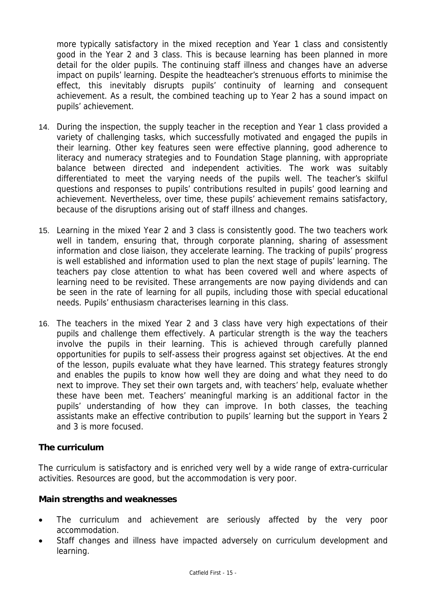more typically satisfactory in the mixed reception and Year 1 class and consistently good in the Year 2 and 3 class. This is because learning has been planned in more detail for the older pupils. The continuing staff illness and changes have an adverse impact on pupils' learning. Despite the headteacher's strenuous efforts to minimise the effect, this inevitably disrupts pupils' continuity of learning and consequent achievement. As a result, the combined teaching up to Year 2 has a sound impact on pupils' achievement.

- 14. During the inspection, the supply teacher in the reception and Year 1 class provided a variety of challenging tasks, which successfully motivated and engaged the pupils in their learning. Other key features seen were effective planning, good adherence to literacy and numeracy strategies and to Foundation Stage planning, with appropriate balance between directed and independent activities. The work was suitably differentiated to meet the varying needs of the pupils well. The teacher's skilful questions and responses to pupils' contributions resulted in pupils' good learning and achievement. Nevertheless, over time, these pupils' achievement remains satisfactory, because of the disruptions arising out of staff illness and changes.
- 15. Learning in the mixed Year 2 and 3 class is consistently good. The two teachers work well in tandem, ensuring that, through corporate planning, sharing of assessment information and close liaison, they accelerate learning. The tracking of pupils' progress is well established and information used to plan the next stage of pupils' learning. The teachers pay close attention to what has been covered well and where aspects of learning need to be revisited. These arrangements are now paying dividends and can be seen in the rate of learning for all pupils, including those with special educational needs. Pupils' enthusiasm characterises learning in this class.
- 16. The teachers in the mixed Year 2 and 3 class have very high expectations of their pupils and challenge them effectively. A particular strength is the way the teachers involve the pupils in their learning. This is achieved through carefully planned opportunities for pupils to self-assess their progress against set objectives. At the end of the lesson, pupils evaluate what they have learned. This strategy features strongly and enables the pupils to know how well they are doing and what they need to do next to improve. They set their own targets and, with teachers' help, evaluate whether these have been met. Teachers' meaningful marking is an additional factor in the pupils' understanding of how they can improve. In both classes, the teaching assistants make an effective contribution to pupils' learning but the support in Years 2 and 3 is more focused.

### **The curriculum**

The curriculum is satisfactory and is enriched very well by a wide range of extra-curricular activities. Resources are good, but the accommodation is very poor.

### **Main strengths and weaknesses**

- The curriculum and achievement are seriously affected by the very poor accommodation.
- Staff changes and illness have impacted adversely on curriculum development and learning.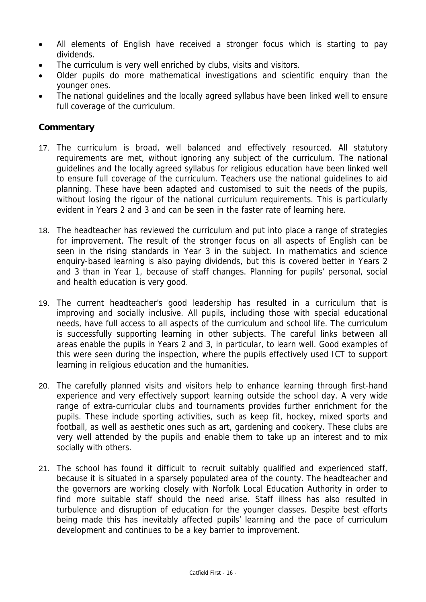- All elements of English have received a stronger focus which is starting to pay dividends.
- The curriculum is very well enriched by clubs, visits and visitors.
- Older pupils do more mathematical investigations and scientific enquiry than the younger ones.
- The national guidelines and the locally agreed syllabus have been linked well to ensure full coverage of the curriculum.

- 17. The curriculum is broad, well balanced and effectively resourced. All statutory requirements are met, without ignoring any subject of the curriculum. The national guidelines and the locally agreed syllabus for religious education have been linked well to ensure full coverage of the curriculum. Teachers use the national guidelines to aid planning. These have been adapted and customised to suit the needs of the pupils, without losing the rigour of the national curriculum requirements. This is particularly evident in Years 2 and 3 and can be seen in the faster rate of learning here.
- 18. The headteacher has reviewed the curriculum and put into place a range of strategies for improvement. The result of the stronger focus on all aspects of English can be seen in the rising standards in Year 3 in the subject. In mathematics and science enquiry-based learning is also paying dividends, but this is covered better in Years 2 and 3 than in Year 1, because of staff changes. Planning for pupils' personal, social and health education is very good.
- 19. The current headteacher's good leadership has resulted in a curriculum that is improving and socially inclusive. All pupils, including those with special educational needs, have full access to all aspects of the curriculum and school life. The curriculum is successfully supporting learning in other subjects. The careful links between all areas enable the pupils in Years 2 and 3, in particular, to learn well. Good examples of this were seen during the inspection, where the pupils effectively used ICT to support learning in religious education and the humanities.
- 20. The carefully planned visits and visitors help to enhance learning through first-hand experience and very effectively support learning outside the school day. A very wide range of extra-curricular clubs and tournaments provides further enrichment for the pupils. These include sporting activities, such as keep fit, hockey, mixed sports and football, as well as aesthetic ones such as art, gardening and cookery. These clubs are very well attended by the pupils and enable them to take up an interest and to mix socially with others.
- 21. The school has found it difficult to recruit suitably qualified and experienced staff, because it is situated in a sparsely populated area of the county. The headteacher and the governors are working closely with Norfolk Local Education Authority in order to find more suitable staff should the need arise. Staff illness has also resulted in turbulence and disruption of education for the younger classes. Despite best efforts being made this has inevitably affected pupils' learning and the pace of curriculum development and continues to be a key barrier to improvement.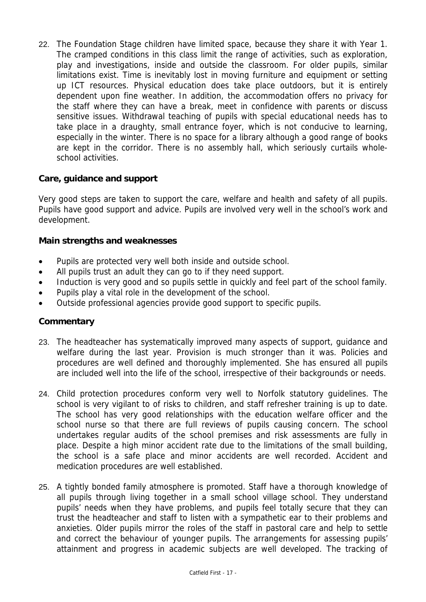22. The Foundation Stage children have limited space, because they share it with Year 1. The cramped conditions in this class limit the range of activities, such as exploration, play and investigations, inside and outside the classroom. For older pupils, similar limitations exist. Time is inevitably lost in moving furniture and equipment or setting up ICT resources. Physical education does take place outdoors, but it is entirely dependent upon fine weather. In addition, the accommodation offers no privacy for the staff where they can have a break, meet in confidence with parents or discuss sensitive issues. Withdrawal teaching of pupils with special educational needs has to take place in a draughty, small entrance foyer, which is not conducive to learning, especially in the winter. There is no space for a library although a good range of books are kept in the corridor. There is no assembly hall, which seriously curtails wholeschool activities.

### **Care, guidance and support**

Very good steps are taken to support the care, welfare and health and safety of all pupils. Pupils have good support and advice. Pupils are involved very well in the school's work and development.

### **Main strengths and weaknesses**

- Pupils are protected very well both inside and outside school.
- All pupils trust an adult they can go to if they need support.
- Induction is very good and so pupils settle in quickly and feel part of the school family.
- Pupils play a vital role in the development of the school.
- Outside professional agencies provide good support to specific pupils.

- 23. The headteacher has systematically improved many aspects of support, guidance and welfare during the last year. Provision is much stronger than it was. Policies and procedures are well defined and thoroughly implemented. She has ensured all pupils are included well into the life of the school, irrespective of their backgrounds or needs.
- 24. Child protection procedures conform very well to Norfolk statutory guidelines. The school is very vigilant to of risks to children, and staff refresher training is up to date. The school has very good relationships with the education welfare officer and the school nurse so that there are full reviews of pupils causing concern. The school undertakes regular audits of the school premises and risk assessments are fully in place. Despite a high minor accident rate due to the limitations of the small building, the school is a safe place and minor accidents are well recorded. Accident and medication procedures are well established.
- 25. A tightly bonded family atmosphere is promoted. Staff have a thorough knowledge of all pupils through living together in a small school village school. They understand pupils' needs when they have problems, and pupils feel totally secure that they can trust the headteacher and staff to listen with a sympathetic ear to their problems and anxieties. Older pupils mirror the roles of the staff in pastoral care and help to settle and correct the behaviour of younger pupils. The arrangements for assessing pupils' attainment and progress in academic subjects are well developed. The tracking of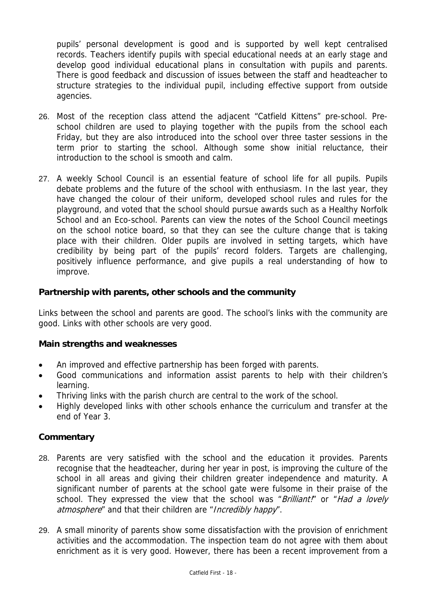pupils' personal development is good and is supported by well kept centralised records. Teachers identify pupils with special educational needs at an early stage and develop good individual educational plans in consultation with pupils and parents. There is good feedback and discussion of issues between the staff and headteacher to structure strategies to the individual pupil, including effective support from outside agencies.

- 26. Most of the reception class attend the adjacent "Catfield Kittens" pre-school. Preschool children are used to playing together with the pupils from the school each Friday, but they are also introduced into the school over three taster sessions in the term prior to starting the school. Although some show initial reluctance, their introduction to the school is smooth and calm.
- 27. A weekly School Council is an essential feature of school life for all pupils. Pupils debate problems and the future of the school with enthusiasm. In the last year, they have changed the colour of their uniform, developed school rules and rules for the playground, and voted that the school should pursue awards such as a Healthy Norfolk School and an Eco-school. Parents can view the notes of the School Council meetings on the school notice board, so that they can see the culture change that is taking place with their children. Older pupils are involved in setting targets, which have credibility by being part of the pupils' record folders. Targets are challenging, positively influence performance, and give pupils a real understanding of how to improve.

### **Partnership with parents, other schools and the community**

Links between the school and parents are good. The school's links with the community are good. Links with other schools are very good.

### **Main strengths and weaknesses**

- An improved and effective partnership has been forged with parents.
- Good communications and information assist parents to help with their children's learning.
- Thriving links with the parish church are central to the work of the school.
- Highly developed links with other schools enhance the curriculum and transfer at the end of Year 3.

- 28. Parents are very satisfied with the school and the education it provides. Parents recognise that the headteacher, during her year in post, is improving the culture of the school in all areas and giving their children greater independence and maturity. A significant number of parents at the school gate were fulsome in their praise of the school. They expressed the view that the school was "Brilliant!" or "Had a lovely atmosphere" and that their children are "Incredibly happy".
- 29. A small minority of parents show some dissatisfaction with the provision of enrichment activities and the accommodation. The inspection team do not agree with them about enrichment as it is very good. However, there has been a recent improvement from a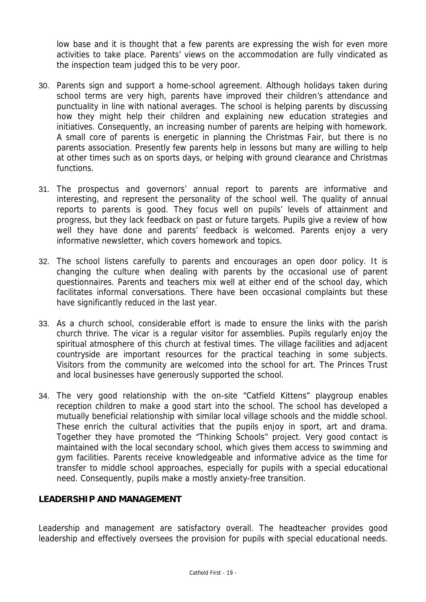low base and it is thought that a few parents are expressing the wish for even more activities to take place. Parents' views on the accommodation are fully vindicated as the inspection team judged this to be very poor.

- 30. Parents sign and support a home-school agreement. Although holidays taken during school terms are very high, parents have improved their children's attendance and punctuality in line with national averages. The school is helping parents by discussing how they might help their children and explaining new education strategies and initiatives. Consequently, an increasing number of parents are helping with homework. A small core of parents is energetic in planning the Christmas Fair, but there is no parents association. Presently few parents help in lessons but many are willing to help at other times such as on sports days, or helping with ground clearance and Christmas functions.
- 31. The prospectus and governors' annual report to parents are informative and interesting, and represent the personality of the school well. The quality of annual reports to parents is good. They focus well on pupils' levels of attainment and progress, but they lack feedback on past or future targets. Pupils give a review of how well they have done and parents' feedback is welcomed. Parents enjoy a very informative newsletter, which covers homework and topics.
- 32. The school listens carefully to parents and encourages an open door policy. It is changing the culture when dealing with parents by the occasional use of parent questionnaires. Parents and teachers mix well at either end of the school day, which facilitates informal conversations. There have been occasional complaints but these have significantly reduced in the last year.
- 33. As a church school, considerable effort is made to ensure the links with the parish church thrive. The vicar is a regular visitor for assemblies. Pupils regularly enjoy the spiritual atmosphere of this church at festival times. The village facilities and adjacent countryside are important resources for the practical teaching in some subjects. Visitors from the community are welcomed into the school for art. The Princes Trust and local businesses have generously supported the school.
- 34. The very good relationship with the on-site "Catfield Kittens" playgroup enables reception children to make a good start into the school. The school has developed a mutually beneficial relationship with similar local village schools and the middle school. These enrich the cultural activities that the pupils enjoy in sport, art and drama. Together they have promoted the "Thinking Schools" project. Very good contact is maintained with the local secondary school, which gives them access to swimming and gym facilities. Parents receive knowledgeable and informative advice as the time for transfer to middle school approaches, especially for pupils with a special educational need. Consequently, pupils make a mostly anxiety-free transition.

### **LEADERSHIP AND MANAGEMENT**

Leadership and management are satisfactory overall. The headteacher provides good leadership and effectively oversees the provision for pupils with special educational needs.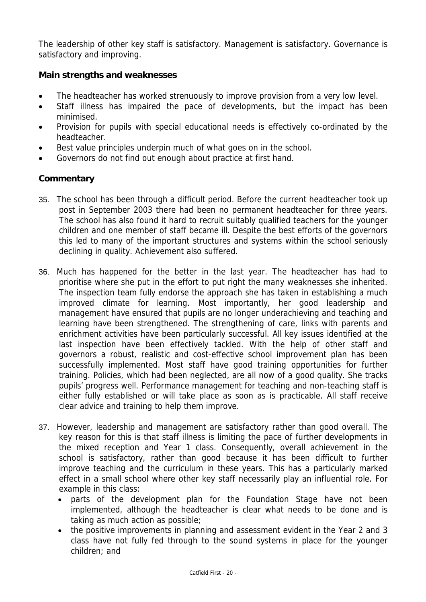The leadership of other key staff is satisfactory. Management is satisfactory. Governance is satisfactory and improving.

## **Main strengths and weaknesses**

- The headteacher has worked strenuously to improve provision from a very low level.
- Staff illness has impaired the pace of developments, but the impact has been minimised.
- Provision for pupils with special educational needs is effectively co-ordinated by the headteacher.
- Best value principles underpin much of what goes on in the school.
- Governors do not find out enough about practice at first hand.

- 35. The school has been through a difficult period. Before the current headteacher took up post in September 2003 there had been no permanent headteacher for three years. The school has also found it hard to recruit suitably qualified teachers for the younger children and one member of staff became ill. Despite the best efforts of the governors this led to many of the important structures and systems within the school seriously declining in quality. Achievement also suffered.
- 36. Much has happened for the better in the last year. The headteacher has had to prioritise where she put in the effort to put right the many weaknesses she inherited. The inspection team fully endorse the approach she has taken in establishing a much improved climate for learning. Most importantly, her good leadership and management have ensured that pupils are no longer underachieving and teaching and learning have been strengthened. The strengthening of care, links with parents and enrichment activities have been particularly successful. All key issues identified at the last inspection have been effectively tackled. With the help of other staff and governors a robust, realistic and cost-effective school improvement plan has been successfully implemented. Most staff have good training opportunities for further training. Policies, which had been neglected, are all now of a good quality. She tracks pupils' progress well. Performance management for teaching and non-teaching staff is either fully established or will take place as soon as is practicable. All staff receive clear advice and training to help them improve.
- 37. However, leadership and management are satisfactory rather than good overall. The key reason for this is that staff illness is limiting the pace of further developments in the mixed reception and Year 1 class. Consequently, overall achievement in the school is satisfactory, rather than good because it has been difficult to further improve teaching and the curriculum in these years. This has a particularly marked effect in a small school where other key staff necessarily play an influential role. For example in this class:
	- parts of the development plan for the Foundation Stage have not been implemented, although the headteacher is clear what needs to be done and is taking as much action as possible;
	- the positive improvements in planning and assessment evident in the Year 2 and 3 class have not fully fed through to the sound systems in place for the younger children; and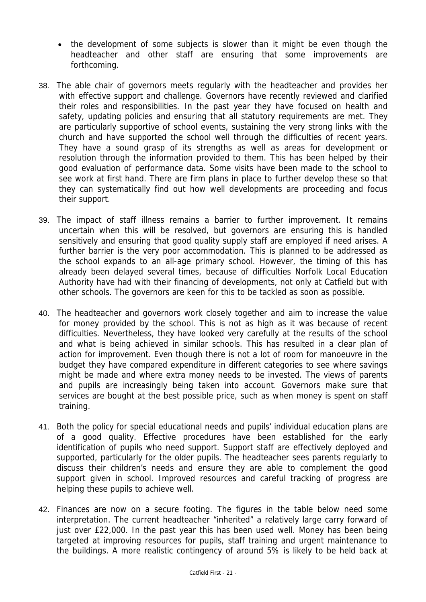- the development of some subjects is slower than it might be even though the headteacher and other staff are ensuring that some improvements are forthcoming.
- 38. The able chair of governors meets regularly with the headteacher and provides her with effective support and challenge. Governors have recently reviewed and clarified their roles and responsibilities. In the past year they have focused on health and safety, updating policies and ensuring that all statutory requirements are met. They are particularly supportive of school events, sustaining the very strong links with the church and have supported the school well through the difficulties of recent years. They have a sound grasp of its strengths as well as areas for development or resolution through the information provided to them. This has been helped by their good evaluation of performance data. Some visits have been made to the school to see work at first hand. There are firm plans in place to further develop these so that they can systematically find out how well developments are proceeding and focus their support.
- 39. The impact of staff illness remains a barrier to further improvement. It remains uncertain when this will be resolved, but governors are ensuring this is handled sensitively and ensuring that good quality supply staff are employed if need arises. A further barrier is the very poor accommodation. This is planned to be addressed as the school expands to an all-age primary school. However, the timing of this has already been delayed several times, because of difficulties Norfolk Local Education Authority have had with their financing of developments, not only at Catfield but with other schools. The governors are keen for this to be tackled as soon as possible.
- 40. The headteacher and governors work closely together and aim to increase the value for money provided by the school. This is not as high as it was because of recent difficulties. Nevertheless, they have looked very carefully at the results of the school and what is being achieved in similar schools. This has resulted in a clear plan of action for improvement. Even though there is not a lot of room for manoeuvre in the budget they have compared expenditure in different categories to see where savings might be made and where extra money needs to be invested. The views of parents and pupils are increasingly being taken into account. Governors make sure that services are bought at the best possible price, such as when money is spent on staff training.
- 41. Both the policy for special educational needs and pupils' individual education plans are of a good quality. Effective procedures have been established for the early identification of pupils who need support. Support staff are effectively deployed and supported, particularly for the older pupils. The headteacher sees parents regularly to discuss their children's needs and ensure they are able to complement the good support given in school. Improved resources and careful tracking of progress are helping these pupils to achieve well.
- 42. Finances are now on a secure footing. The figures in the table below need some interpretation. The current headteacher "inherited" a relatively large carry forward of just over £22,000. In the past year this has been used well. Money has been being targeted at improving resources for pupils, staff training and urgent maintenance to the buildings. A more realistic contingency of around 5% is likely to be held back at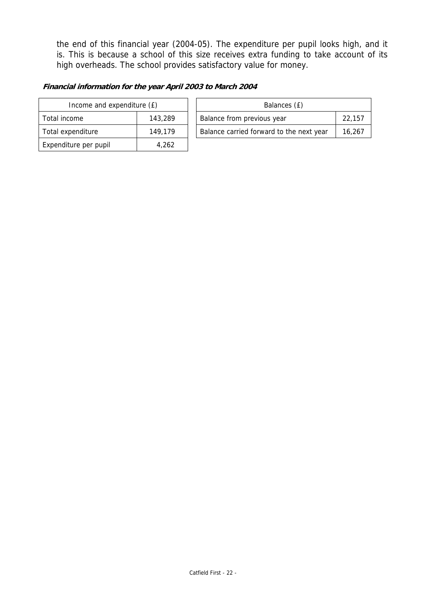the end of this financial year (2004-05). The expenditure per pupil looks high, and it is. This is because a school of this size receives extra funding to take account of its high overheads. The school provides satisfactory value for money.

#### **Financial information for the year April 2003 to March 2004**

| Income and expenditure (£) |         |  |  |
|----------------------------|---------|--|--|
| Total income               | 143,289 |  |  |
| Total expenditure          | 149.179 |  |  |
| Expenditure per pupil      | 4.262   |  |  |

| Income and expenditure (£) |         | Balances (£)                             |        |  |  |
|----------------------------|---------|------------------------------------------|--------|--|--|
|                            |         |                                          |        |  |  |
| Total income               | 143,289 | Balance from previous year               | 22.157 |  |  |
| Total expenditure          | 149.179 | Balance carried forward to the next year | 16.267 |  |  |
|                            |         |                                          |        |  |  |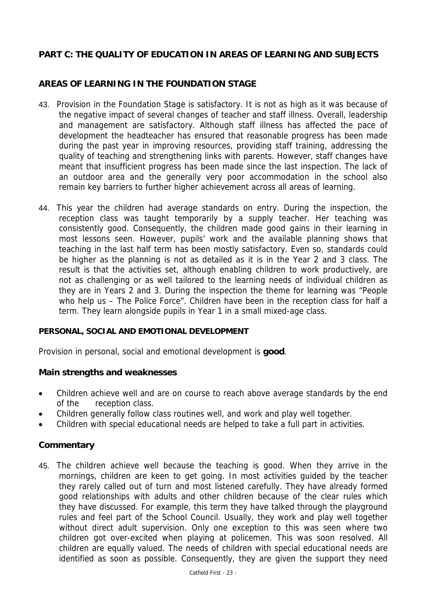# **PART C: THE QUALITY OF EDUCATION IN AREAS OF LEARNING AND SUBJECTS**

# **AREAS OF LEARNING IN THE FOUNDATION STAGE**

- 43. Provision in the Foundation Stage is satisfactory. It is not as high as it was because of the negative impact of several changes of teacher and staff illness. Overall, leadership and management are satisfactory. Although staff illness has affected the pace of development the headteacher has ensured that reasonable progress has been made during the past year in improving resources, providing staff training, addressing the quality of teaching and strengthening links with parents. However, staff changes have meant that insufficient progress has been made since the last inspection. The lack of an outdoor area and the generally very poor accommodation in the school also remain key barriers to further higher achievement across all areas of learning.
- 44. This year the children had average standards on entry. During the inspection, the reception class was taught temporarily by a supply teacher. Her teaching was consistently good. Consequently, the children made good gains in their learning in most lessons seen. However, pupils' work and the available planning shows that teaching in the last half term has been mostly satisfactory. Even so, standards could be higher as the planning is not as detailed as it is in the Year 2 and 3 class. The result is that the activities set, although enabling children to work productively, are not as challenging or as well tailored to the learning needs of individual children as they are in Years 2 and 3. During the inspection the theme for learning was "People who help us – The Police Force". Children have been in the reception class for half a term. They learn alongside pupils in Year 1 in a small mixed-age class.

### **PERSONAL, SOCIAL AND EMOTIONAL DEVELOPMENT**

Provision in personal, social and emotional development is **good**.

### **Main strengths and weaknesses**

- Children achieve well and are on course to reach above average standards by the end of the reception class.
- Children generally follow class routines well, and work and play well together.
- Children with special educational needs are helped to take a full part in activities.

### **Commentary**

45. The children achieve well because the teaching is good. When they arrive in the mornings, children are keen to get going. In most activities guided by the teacher they rarely called out of turn and most listened carefully. They have already formed good relationships with adults and other children because of the clear rules which they have discussed. For example, this term they have talked through the playground rules and feel part of the School Council. Usually, they work and play well together without direct adult supervision. Only one exception to this was seen where two children got over-excited when playing at policemen. This was soon resolved. All children are equally valued. The needs of children with special educational needs are identified as soon as possible. Consequently, they are given the support they need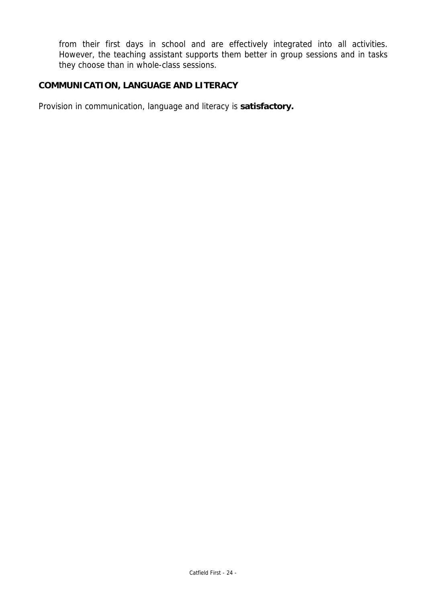from their first days in school and are effectively integrated into all activities. However, the teaching assistant supports them better in group sessions and in tasks they choose than in whole-class sessions.

# **COMMUNICATION, LANGUAGE AND LITERACY**

Provision in communication, language and literacy is **satisfactory.**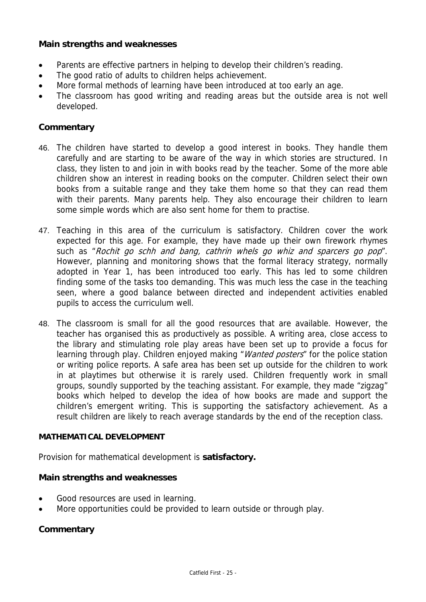### **Main strengths and weaknesses**

- Parents are effective partners in helping to develop their children's reading.
- The good ratio of adults to children helps achievement.
- More formal methods of learning have been introduced at too early an age.
- The classroom has good writing and reading areas but the outside area is not well developed.

### **Commentary**

- 46. The children have started to develop a good interest in books. They handle them carefully and are starting to be aware of the way in which stories are structured. In class, they listen to and join in with books read by the teacher. Some of the more able children show an interest in reading books on the computer. Children select their own books from a suitable range and they take them home so that they can read them with their parents. Many parents help. They also encourage their children to learn some simple words which are also sent home for them to practise.
- 47. Teaching in this area of the curriculum is satisfactory. Children cover the work expected for this age. For example, they have made up their own firework rhymes such as "Rochit go schh and bang, cathrin whels go whiz and sparcers go pop". However, planning and monitoring shows that the formal literacy strategy, normally adopted in Year 1, has been introduced too early. This has led to some children finding some of the tasks too demanding. This was much less the case in the teaching seen, where a good balance between directed and independent activities enabled pupils to access the curriculum well.
- 48. The classroom is small for all the good resources that are available. However, the teacher has organised this as productively as possible. A writing area, close access to the library and stimulating role play areas have been set up to provide a focus for learning through play. Children enjoyed making "*Wanted posters*" for the police station or writing police reports. A safe area has been set up outside for the children to work in at playtimes but otherwise it is rarely used. Children frequently work in small groups, soundly supported by the teaching assistant. For example, they made "zigzag" books which helped to develop the idea of how books are made and support the children's emergent writing. This is supporting the satisfactory achievement. As a result children are likely to reach average standards by the end of the reception class.

### **MATHEMATICAL DEVELOPMENT**

Provision for mathematical development is **satisfactory.**

### **Main strengths and weaknesses**

- Good resources are used in learning.
- More opportunities could be provided to learn outside or through play.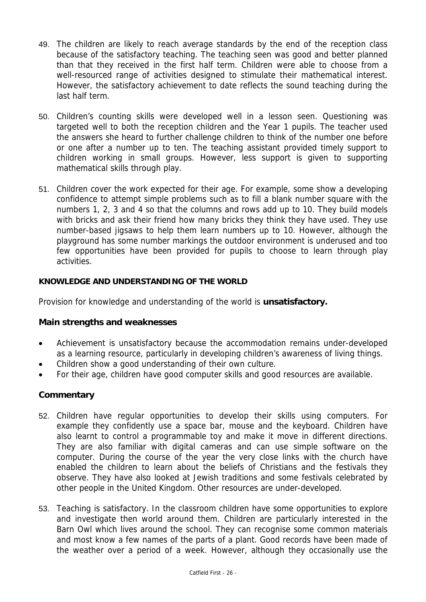- 49. The children are likely to reach average standards by the end of the reception class because of the satisfactory teaching. The teaching seen was good and better planned than that they received in the first half term. Children were able to choose from a well-resourced range of activities designed to stimulate their mathematical interest. However, the satisfactory achievement to date reflects the sound teaching during the last half term.
- 50. Children's counting skills were developed well in a lesson seen. Questioning was targeted well to both the reception children and the Year 1 pupils. The teacher used the answers she heard to further challenge children to think of the number one before or one after a number up to ten. The teaching assistant provided timely support to children working in small groups. However, less support is given to supporting mathematical skills through play.
- 51. Children cover the work expected for their age. For example, some show a developing confidence to attempt simple problems such as to fill a blank number square with the numbers 1, 2, 3 and 4 so that the columns and rows add up to 10. They build models with bricks and ask their friend how many bricks they think they have used. They use number-based jigsaws to help them learn numbers up to 10. However, although the playground has some number markings the outdoor environment is underused and too few opportunities have been provided for pupils to choose to learn through play activities.

### **KNOWLEDGE AND UNDERSTANDING OF THE WORLD**

Provision for knowledge and understanding of the world is **unsatisfactory.** 

### **Main strengths and weaknesses**

- Achievement is unsatisfactory because the accommodation remains under-developed as a learning resource, particularly in developing children's awareness of living things.
- Children show a good understanding of their own culture.
- For their age, children have good computer skills and good resources are available.

- 52. Children have regular opportunities to develop their skills using computers. For example they confidently use a space bar, mouse and the keyboard. Children have also learnt to control a programmable toy and make it move in different directions. They are also familiar with digital cameras and can use simple software on the computer. During the course of the year the very close links with the church have enabled the children to learn about the beliefs of Christians and the festivals they observe. They have also looked at Jewish traditions and some festivals celebrated by other people in the United Kingdom. Other resources are under-developed.
- 53. Teaching is satisfactory. In the classroom children have some opportunities to explore and investigate then world around them. Children are particularly interested in the Barn Owl which lives around the school. They can recognise some common materials and most know a few names of the parts of a plant. Good records have been made of the weather over a period of a week. However, although they occasionally use the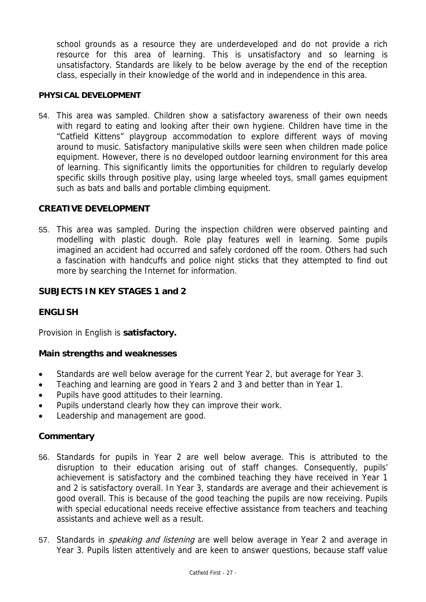school grounds as a resource they are underdeveloped and do not provide a rich resource for this area of learning. This is unsatisfactory and so learning is unsatisfactory. Standards are likely to be below average by the end of the reception class, especially in their knowledge of the world and in independence in this area.

#### **PHYSICAL DEVELOPMENT**

54. This area was sampled. Children show a satisfactory awareness of their own needs with regard to eating and looking after their own hygiene. Children have time in the "Catfield Kittens" playgroup accommodation to explore different ways of moving around to music. Satisfactory manipulative skills were seen when children made police equipment. However, there is no developed outdoor learning environment for this area of learning. This significantly limits the opportunities for children to regularly develop specific skills through positive play, using large wheeled toys, small games equipment such as bats and balls and portable climbing equipment.

### **CREATIVE DEVELOPMENT**

55. This area was sampled. During the inspection children were observed painting and modelling with plastic dough. Role play features well in learning. Some pupils imagined an accident had occurred and safely cordoned off the room. Others had such a fascination with handcuffs and police night sticks that they attempted to find out more by searching the Internet for information.

### **SUBJECTS IN KEY STAGES 1 and 2**

### **ENGLISH**

Provision in English is **satisfactory.** 

### **Main strengths and weaknesses**

- Standards are well below average for the current Year 2, but average for Year 3.
- Teaching and learning are good in Years 2 and 3 and better than in Year 1.
- Pupils have good attitudes to their learning.
- Pupils understand clearly how they can improve their work.
- Leadership and management are good.

- 56. Standards for pupils in Year 2 are well below average. This is attributed to the disruption to their education arising out of staff changes. Consequently, pupils' achievement is satisfactory and the combined teaching they have received in Year 1 and 2 is satisfactory overall. In Year 3, standards are average and their achievement is good overall. This is because of the good teaching the pupils are now receiving. Pupils with special educational needs receive effective assistance from teachers and teaching assistants and achieve well as a result.
- 57. Standards in *speaking and listening* are well below average in Year 2 and average in Year 3. Pupils listen attentively and are keen to answer questions, because staff value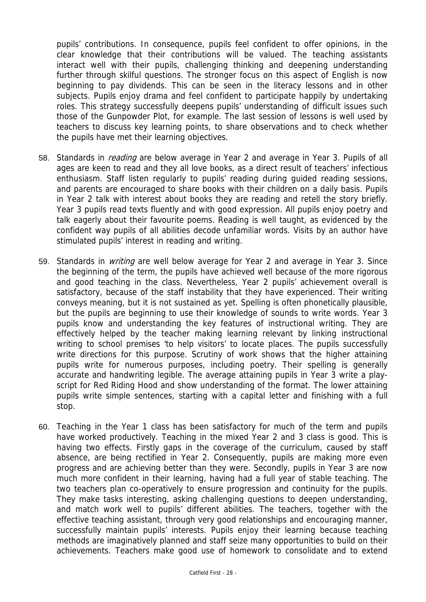pupils' contributions. In consequence, pupils feel confident to offer opinions, in the clear knowledge that their contributions will be valued. The teaching assistants interact well with their pupils, challenging thinking and deepening understanding further through skilful questions. The stronger focus on this aspect of English is now beginning to pay dividends. This can be seen in the literacy lessons and in other subjects. Pupils enjoy drama and feel confident to participate happily by undertaking roles. This strategy successfully deepens pupils' understanding of difficult issues such those of the Gunpowder Plot, for example. The last session of lessons is well used by teachers to discuss key learning points, to share observations and to check whether the pupils have met their learning objectives.

- 58. Standards in *reading* are below average in Year 2 and average in Year 3. Pupils of all ages are keen to read and they all love books, as a direct result of teachers' infectious enthusiasm. Staff listen regularly to pupils' reading during guided reading sessions, and parents are encouraged to share books with their children on a daily basis. Pupils in Year 2 talk with interest about books they are reading and retell the story briefly. Year 3 pupils read texts fluently and with good expression. All pupils enjoy poetry and talk eagerly about their favourite poems. Reading is well taught, as evidenced by the confident way pupils of all abilities decode unfamiliar words. Visits by an author have stimulated pupils' interest in reading and writing.
- 59. Standards in *writing* are well below average for Year 2 and average in Year 3. Since the beginning of the term, the pupils have achieved well because of the more rigorous and good teaching in the class. Nevertheless, Year 2 pupils' achievement overall is satisfactory, because of the staff instability that they have experienced. Their writing conveys meaning, but it is not sustained as yet. Spelling is often phonetically plausible, but the pupils are beginning to use their knowledge of sounds to write words. Year 3 pupils know and understanding the key features of instructional writing. They are effectively helped by the teacher making learning relevant by linking instructional writing to school premises 'to help visitors' to locate places. The pupils successfully write directions for this purpose. Scrutiny of work shows that the higher attaining pupils write for numerous purposes, including poetry. Their spelling is generally accurate and handwriting legible. The average attaining pupils in Year 3 write a playscript for Red Riding Hood and show understanding of the format. The lower attaining pupils write simple sentences, starting with a capital letter and finishing with a full stop.
- 60. Teaching in the Year 1 class has been satisfactory for much of the term and pupils have worked productively. Teaching in the mixed Year 2 and 3 class is good. This is having two effects. Firstly gaps in the coverage of the curriculum, caused by staff absence, are being rectified in Year 2. Consequently, pupils are making more even progress and are achieving better than they were. Secondly, pupils in Year 3 are now much more confident in their learning, having had a full year of stable teaching. The two teachers plan co-operatively to ensure progression and continuity for the pupils. They make tasks interesting, asking challenging questions to deepen understanding, and match work well to pupils' different abilities. The teachers, together with the effective teaching assistant, through very good relationships and encouraging manner, successfully maintain pupils' interests. Pupils enjoy their learning because teaching methods are imaginatively planned and staff seize many opportunities to build on their achievements. Teachers make good use of homework to consolidate and to extend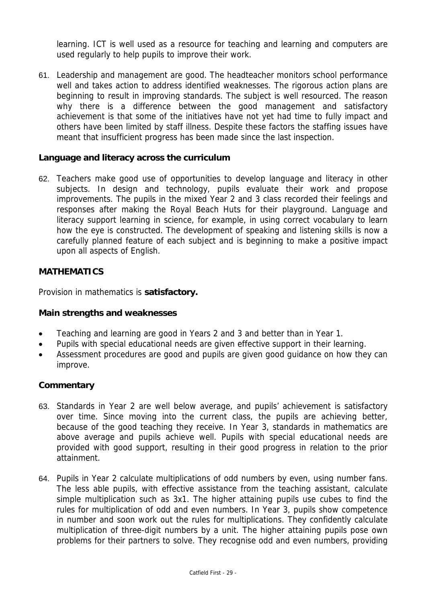learning. ICT is well used as a resource for teaching and learning and computers are used regularly to help pupils to improve their work.

61. Leadership and management are good. The headteacher monitors school performance well and takes action to address identified weaknesses. The rigorous action plans are beginning to result in improving standards. The subject is well resourced. The reason why there is a difference between the good management and satisfactory achievement is that some of the initiatives have not yet had time to fully impact and others have been limited by staff illness. Despite these factors the staffing issues have meant that insufficient progress has been made since the last inspection.

### **Language and literacy across the curriculum**

62. Teachers make good use of opportunities to develop language and literacy in other subjects. In design and technology, pupils evaluate their work and propose improvements. The pupils in the mixed Year 2 and 3 class recorded their feelings and responses after making the Royal Beach Huts for their playground. Language and literacy support learning in science, for example, in using correct vocabulary to learn how the eye is constructed. The development of speaking and listening skills is now a carefully planned feature of each subject and is beginning to make a positive impact upon all aspects of English.

### **MATHEMATICS**

Provision in mathematics is **satisfactory.** 

### **Main strengths and weaknesses**

- Teaching and learning are good in Years 2 and 3 and better than in Year 1.
- Pupils with special educational needs are given effective support in their learning.
- Assessment procedures are good and pupils are given good guidance on how they can improve.

- 63. Standards in Year 2 are well below average, and pupils' achievement is satisfactory over time. Since moving into the current class, the pupils are achieving better, because of the good teaching they receive. In Year 3, standards in mathematics are above average and pupils achieve well. Pupils with special educational needs are provided with good support, resulting in their good progress in relation to the prior attainment.
- 64. Pupils in Year 2 calculate multiplications of odd numbers by even, using number fans. The less able pupils, with effective assistance from the teaching assistant, calculate simple multiplication such as 3x1. The higher attaining pupils use cubes to find the rules for multiplication of odd and even numbers. In Year 3, pupils show competence in number and soon work out the rules for multiplications. They confidently calculate multiplication of three-digit numbers by a unit. The higher attaining pupils pose own problems for their partners to solve. They recognise odd and even numbers, providing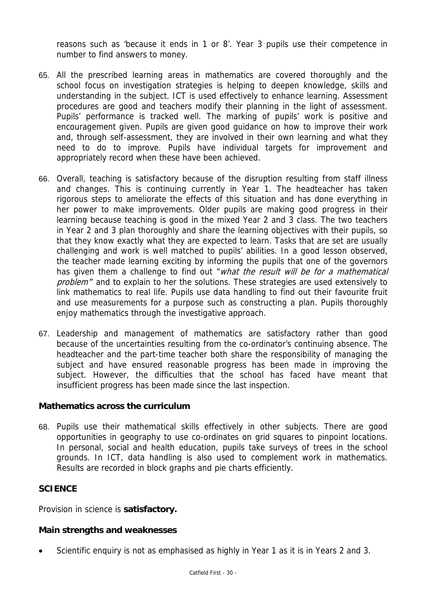reasons such as 'because it ends in 1 or 8'. Year 3 pupils use their competence in number to find answers to money.

- 65. All the prescribed learning areas in mathematics are covered thoroughly and the school focus on investigation strategies is helping to deepen knowledge, skills and understanding in the subject. ICT is used effectively to enhance learning. Assessment procedures are good and teachers modify their planning in the light of assessment. Pupils' performance is tracked well. The marking of pupils' work is positive and encouragement given. Pupils are given good guidance on how to improve their work and, through self-assessment, they are involved in their own learning and what they need to do to improve. Pupils have individual targets for improvement and appropriately record when these have been achieved.
- 66. Overall, teaching is satisfactory because of the disruption resulting from staff illness and changes. This is continuing currently in Year 1. The headteacher has taken rigorous steps to ameliorate the effects of this situation and has done everything in her power to make improvements. Older pupils are making good progress in their learning because teaching is good in the mixed Year 2 and 3 class. The two teachers in Year 2 and 3 plan thoroughly and share the learning objectives with their pupils, so that they know exactly what they are expected to learn. Tasks that are set are usually challenging and work is well matched to pupils' abilities. In a good lesson observed, the teacher made learning exciting by informing the pupils that one of the governors has given them a challenge to find out "*what the result will be for a mathematical* problem" and to explain to her the solutions. These strategies are used extensively to link mathematics to real life. Pupils use data handling to find out their favourite fruit and use measurements for a purpose such as constructing a plan. Pupils thoroughly eniov mathematics through the investigative approach.
- 67. Leadership and management of mathematics are satisfactory rather than good because of the uncertainties resulting from the co-ordinator's continuing absence. The headteacher and the part-time teacher both share the responsibility of managing the subject and have ensured reasonable progress has been made in improving the subject. However, the difficulties that the school has faced have meant that insufficient progress has been made since the last inspection.

### **Mathematics across the curriculum**

68. Pupils use their mathematical skills effectively in other subjects. There are good opportunities in geography to use co-ordinates on grid squares to pinpoint locations. In personal, social and health education, pupils take surveys of trees in the school grounds. In ICT, data handling is also used to complement work in mathematics. Results are recorded in block graphs and pie charts efficiently.

### **SCIENCE**

Provision in science is **satisfactory.** 

### **Main strengths and weaknesses**

Scientific enquiry is not as emphasised as highly in Year 1 as it is in Years 2 and 3.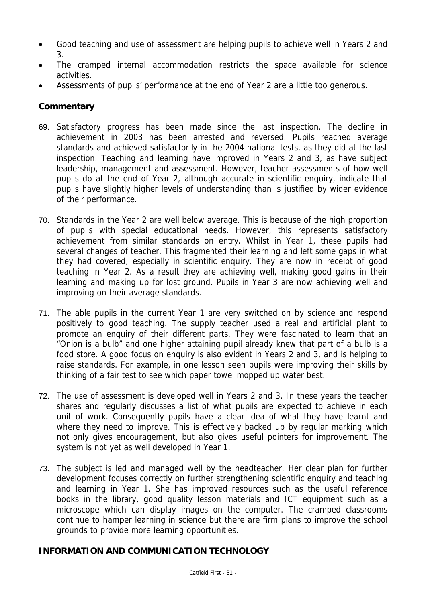- Good teaching and use of assessment are helping pupils to achieve well in Years 2 and 3.
- The cramped internal accommodation restricts the space available for science activities.
- Assessments of pupils' performance at the end of Year 2 are a little too generous.

# **Commentary**

- 69. Satisfactory progress has been made since the last inspection. The decline in achievement in 2003 has been arrested and reversed. Pupils reached average standards and achieved satisfactorily in the 2004 national tests, as they did at the last inspection. Teaching and learning have improved in Years 2 and 3, as have subject leadership, management and assessment. However, teacher assessments of how well pupils do at the end of Year 2, although accurate in scientific enquiry, indicate that pupils have slightly higher levels of understanding than is justified by wider evidence of their performance.
- 70. Standards in the Year 2 are well below average. This is because of the high proportion of pupils with special educational needs. However, this represents satisfactory achievement from similar standards on entry. Whilst in Year 1, these pupils had several changes of teacher. This fragmented their learning and left some gaps in what they had covered, especially in scientific enquiry. They are now in receipt of good teaching in Year 2. As a result they are achieving well, making good gains in their learning and making up for lost ground. Pupils in Year 3 are now achieving well and improving on their average standards.
- 71. The able pupils in the current Year 1 are very switched on by science and respond positively to good teaching. The supply teacher used a real and artificial plant to promote an enquiry of their different parts. They were fascinated to learn that an "Onion is a bulb" and one higher attaining pupil already knew that part of a bulb is a food store. A good focus on enquiry is also evident in Years 2 and 3, and is helping to raise standards. For example, in one lesson seen pupils were improving their skills by thinking of a fair test to see which paper towel mopped up water best.
- 72. The use of assessment is developed well in Years 2 and 3. In these years the teacher shares and regularly discusses a list of what pupils are expected to achieve in each unit of work. Consequently pupils have a clear idea of what they have learnt and where they need to improve. This is effectively backed up by regular marking which not only gives encouragement, but also gives useful pointers for improvement. The system is not yet as well developed in Year 1.
- 73. The subject is led and managed well by the headteacher. Her clear plan for further development focuses correctly on further strengthening scientific enquiry and teaching and learning in Year 1. She has improved resources such as the useful reference books in the library, good quality lesson materials and ICT equipment such as a microscope which can display images on the computer. The cramped classrooms continue to hamper learning in science but there are firm plans to improve the school grounds to provide more learning opportunities.

## **INFORMATION AND COMMUNICATION TECHNOLOGY**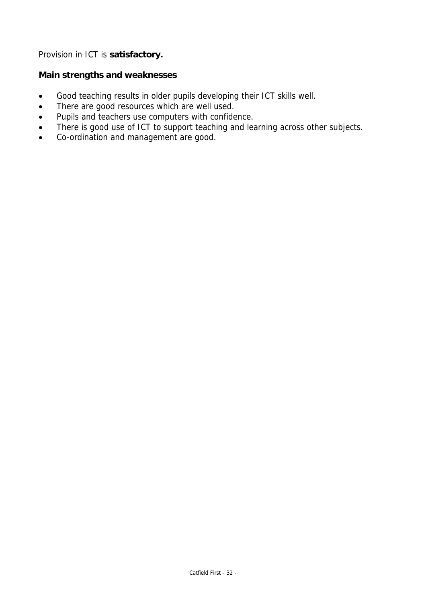Provision in ICT is **satisfactory.** 

## **Main strengths and weaknesses**

- Good teaching results in older pupils developing their ICT skills well.
- There are good resources which are well used.
- Pupils and teachers use computers with confidence.
- There is good use of ICT to support teaching and learning across other subjects.
- Co-ordination and management are good.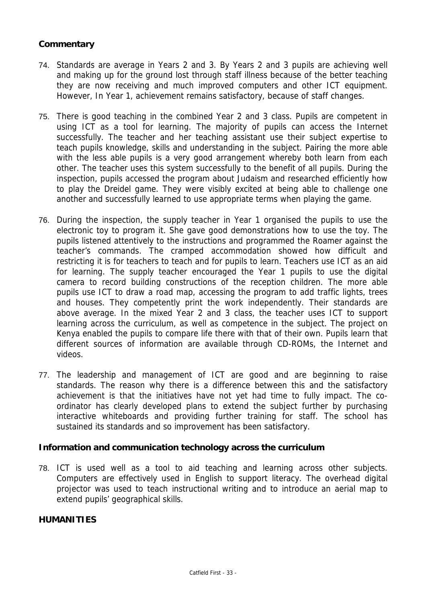## **Commentary**

- 74. Standards are average in Years 2 and 3. By Years 2 and 3 pupils are achieving well and making up for the ground lost through staff illness because of the better teaching they are now receiving and much improved computers and other ICT equipment. However, In Year 1, achievement remains satisfactory, because of staff changes.
- 75. There is good teaching in the combined Year 2 and 3 class. Pupils are competent in using ICT as a tool for learning. The majority of pupils can access the Internet successfully. The teacher and her teaching assistant use their subject expertise to teach pupils knowledge, skills and understanding in the subject. Pairing the more able with the less able pupils is a very good arrangement whereby both learn from each other. The teacher uses this system successfully to the benefit of all pupils. During the inspection, pupils accessed the program about Judaism and researched efficiently how to play the Dreidel game. They were visibly excited at being able to challenge one another and successfully learned to use appropriate terms when playing the game.
- 76. During the inspection, the supply teacher in Year 1 organised the pupils to use the electronic toy to program it. She gave good demonstrations how to use the toy. The pupils listened attentively to the instructions and programmed the Roamer against the teacher's commands. The cramped accommodation showed how difficult and restricting it is for teachers to teach and for pupils to learn. Teachers use ICT as an aid for learning. The supply teacher encouraged the Year 1 pupils to use the digital camera to record building constructions of the reception children. The more able pupils use ICT to draw a road map, accessing the program to add traffic lights, trees and houses. They competently print the work independently. Their standards are above average. In the mixed Year 2 and 3 class, the teacher uses ICT to support learning across the curriculum, as well as competence in the subject. The project on Kenya enabled the pupils to compare life there with that of their own. Pupils learn that different sources of information are available through CD-ROMs, the Internet and videos.
- 77. The leadership and management of ICT are good and are beginning to raise standards. The reason why there is a difference between this and the satisfactory achievement is that the initiatives have not yet had time to fully impact. The coordinator has clearly developed plans to extend the subject further by purchasing interactive whiteboards and providing further training for staff. The school has sustained its standards and so improvement has been satisfactory.

### **Information and communication technology across the curriculum**

78. ICT is used well as a tool to aid teaching and learning across other subjects. Computers are effectively used in English to support literacy. The overhead digital projector was used to teach instructional writing and to introduce an aerial map to extend pupils' geographical skills.

### **HUMANITIES**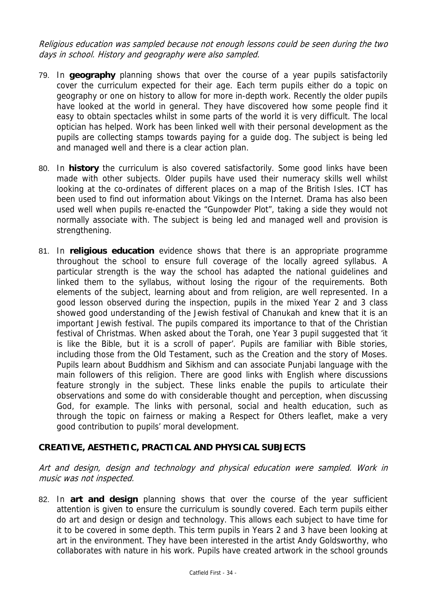Religious education was sampled because not enough lessons could be seen during the two days in school. History and geography were also sampled.

- 79. In **geography** planning shows that over the course of a year pupils satisfactorily cover the curriculum expected for their age. Each term pupils either do a topic on geography or one on history to allow for more in-depth work. Recently the older pupils have looked at the world in general. They have discovered how some people find it easy to obtain spectacles whilst in some parts of the world it is very difficult. The local optician has helped. Work has been linked well with their personal development as the pupils are collecting stamps towards paying for a guide dog. The subject is being led and managed well and there is a clear action plan.
- 80. In **history** the curriculum is also covered satisfactorily. Some good links have been made with other subjects. Older pupils have used their numeracy skills well whilst looking at the co-ordinates of different places on a map of the British Isles. ICT has been used to find out information about Vikings on the Internet. Drama has also been used well when pupils re-enacted the "Gunpowder Plot", taking a side they would not normally associate with. The subject is being led and managed well and provision is strengthening.
- 81. In **religious education** evidence shows that there is an appropriate programme throughout the school to ensure full coverage of the locally agreed syllabus. A particular strength is the way the school has adapted the national guidelines and linked them to the syllabus, without losing the rigour of the requirements. Both elements of the subject, learning about and from religion, are well represented. In a good lesson observed during the inspection, pupils in the mixed Year 2 and 3 class showed good understanding of the Jewish festival of Chanukah and knew that it is an important Jewish festival. The pupils compared its importance to that of the Christian festival of Christmas. When asked about the Torah, one Year 3 pupil suggested that 'it is like the Bible, but it is a scroll of paper'. Pupils are familiar with Bible stories, including those from the Old Testament, such as the Creation and the story of Moses. Pupils learn about Buddhism and Sikhism and can associate Punjabi language with the main followers of this religion. There are good links with English where discussions feature strongly in the subject. These links enable the pupils to articulate their observations and some do with considerable thought and perception, when discussing God, for example. The links with personal, social and health education, such as through the topic on fairness or making a Respect for Others leaflet, make a very good contribution to pupils' moral development.

## **CREATIVE, AESTHETIC, PRACTICAL AND PHYSICAL SUBJECTS**

Art and design, design and technology and physical education were sampled. Work in music was not inspected.

82. In **art and design** planning shows that over the course of the year sufficient attention is given to ensure the curriculum is soundly covered. Each term pupils either do art and design or design and technology. This allows each subject to have time for it to be covered in some depth. This term pupils in Years 2 and 3 have been looking at art in the environment. They have been interested in the artist Andy Goldsworthy, who collaborates with nature in his work. Pupils have created artwork in the school grounds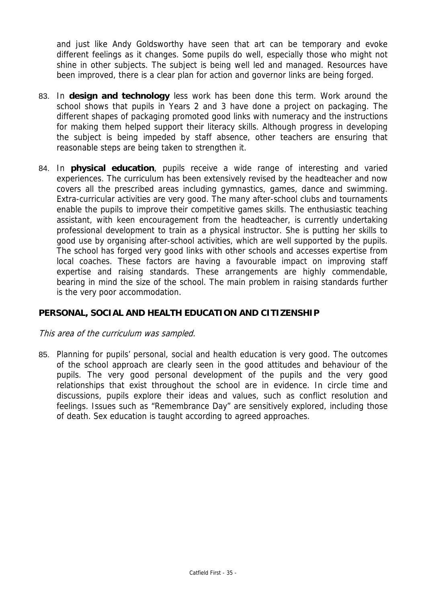and just like Andy Goldsworthy have seen that art can be temporary and evoke different feelings as it changes. Some pupils do well, especially those who might not shine in other subjects. The subject is being well led and managed. Resources have been improved, there is a clear plan for action and governor links are being forged.

- 83. In **design and technology** less work has been done this term. Work around the school shows that pupils in Years 2 and 3 have done a project on packaging. The different shapes of packaging promoted good links with numeracy and the instructions for making them helped support their literacy skills. Although progress in developing the subject is being impeded by staff absence, other teachers are ensuring that reasonable steps are being taken to strengthen it.
- 84. In **physical education**, pupils receive a wide range of interesting and varied experiences. The curriculum has been extensively revised by the headteacher and now covers all the prescribed areas including gymnastics, games, dance and swimming. Extra-curricular activities are very good. The many after-school clubs and tournaments enable the pupils to improve their competitive games skills. The enthusiastic teaching assistant, with keen encouragement from the headteacher, is currently undertaking professional development to train as a physical instructor. She is putting her skills to good use by organising after-school activities, which are well supported by the pupils. The school has forged very good links with other schools and accesses expertise from local coaches. These factors are having a favourable impact on improving staff expertise and raising standards. These arrangements are highly commendable, bearing in mind the size of the school. The main problem in raising standards further is the very poor accommodation.

## **PERSONAL, SOCIAL AND HEALTH EDUCATION AND CITIZENSHIP**

### This area of the curriculum was sampled.

85. Planning for pupils' personal, social and health education is very good. The outcomes of the school approach are clearly seen in the good attitudes and behaviour of the pupils. The very good personal development of the pupils and the very good relationships that exist throughout the school are in evidence. In circle time and discussions, pupils explore their ideas and values, such as conflict resolution and feelings. Issues such as "Remembrance Day" are sensitively explored, including those of death. Sex education is taught according to agreed approaches.